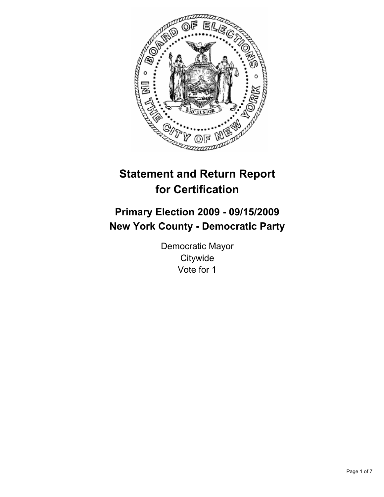

# **Statement and Return Report for Certification**

# **Primary Election 2009 - 09/15/2009 New York County - Democratic Party**

Democratic Mayor **Citywide** Vote for 1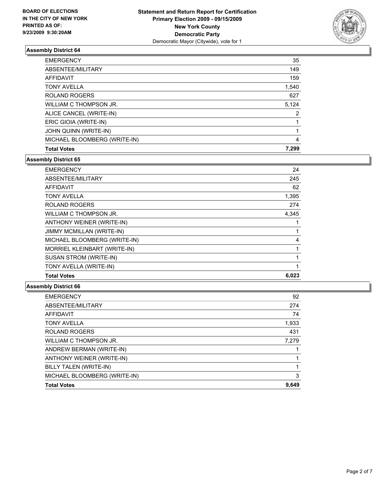

| <b>EMERGENCY</b>             | 35    |
|------------------------------|-------|
| ABSENTEE/MILITARY            | 149   |
| AFFIDAVIT                    | 159   |
| <b>TONY AVELLA</b>           | 1,540 |
| <b>ROLAND ROGERS</b>         | 627   |
| WILLIAM C THOMPSON JR.       | 5,124 |
| ALICE CANCEL (WRITE-IN)      | 2     |
| ERIC GIOIA (WRITE-IN)        |       |
| JOHN QUINN (WRITE-IN)        |       |
| MICHAEL BLOOMBERG (WRITE-IN) | 4     |
| <b>Total Votes</b>           | 7.299 |

## **Assembly District 65**

| <b>EMERGENCY</b>                 | 24    |
|----------------------------------|-------|
| ABSENTEE/MILITARY                | 245   |
| <b>AFFIDAVIT</b>                 | 62    |
| <b>TONY AVELLA</b>               | 1,395 |
| <b>ROLAND ROGERS</b>             | 274   |
| WILLIAM C THOMPSON JR.           | 4,345 |
| ANTHONY WEINER (WRITE-IN)        |       |
| <b>JIMMY MCMILLAN (WRITE-IN)</b> |       |
| MICHAEL BLOOMBERG (WRITE-IN)     | 4     |
| MORRIEL KLEINBART (WRITE-IN)     | 1     |
| <b>SUSAN STROM (WRITE-IN)</b>    | 1     |
| TONY AVELLA (WRITE-IN)           |       |
| <b>Total Votes</b>               | 6,023 |

| 92    |
|-------|
| 274   |
| 74    |
| 1,933 |
| 431   |
| 7,279 |
|       |
|       |
|       |
| 3     |
| 9,649 |
|       |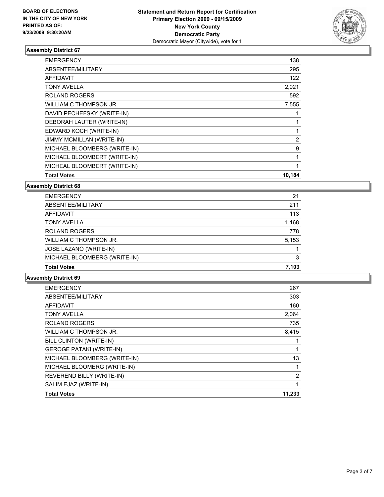

| <b>EMERGENCY</b>                 | 138    |
|----------------------------------|--------|
| ABSENTEE/MILITARY                | 295    |
| <b>AFFIDAVIT</b>                 | 122    |
| <b>TONY AVELLA</b>               | 2,021  |
| <b>ROLAND ROGERS</b>             | 592    |
| WILLIAM C THOMPSON JR.           | 7,555  |
| DAVID PECHEFSKY (WRITE-IN)       |        |
| DEBORAH LAUTER (WRITE-IN)        | 1      |
| EDWARD KOCH (WRITE-IN)           | 1      |
| <b>JIMMY MCMILLAN (WRITE-IN)</b> | 2      |
| MICHAEL BLOOMBERG (WRITE-IN)     | 9      |
| MICHAEL BLOOMBERT (WRITE-IN)     | 1      |
| MICHEAL BLOOMBERT (WRITE-IN)     | 1      |
| <b>Total Votes</b>               | 10,184 |

**Assembly District 68**

| <b>EMERGENCY</b>             | 21    |
|------------------------------|-------|
| ABSENTEE/MILITARY            | 211   |
| AFFIDAVIT                    | 113   |
| <b>TONY AVELLA</b>           | 1,168 |
| <b>ROLAND ROGERS</b>         | 778   |
| WILLIAM C THOMPSON JR.       | 5,153 |
| JOSE LAZANO (WRITE-IN)       |       |
| MICHAEL BLOOMBERG (WRITE-IN) | 3     |
| <b>Total Votes</b>           | 7.103 |

| <b>EMERGENCY</b>                | 267            |
|---------------------------------|----------------|
| ABSENTEE/MILITARY               | 303            |
| <b>AFFIDAVIT</b>                | 160            |
| <b>TONY AVELLA</b>              | 2,064          |
| <b>ROLAND ROGERS</b>            | 735            |
| WILLIAM C THOMPSON JR.          | 8,415          |
| BILL CLINTON (WRITE-IN)         |                |
| <b>GEROGE PATAKI (WRITE-IN)</b> | 1              |
| MICHAEL BLOOMBERG (WRITE-IN)    | 13             |
| MICHAEL BLOOMERG (WRITE-IN)     | 1              |
| REVEREND BILLY (WRITE-IN)       | $\overline{2}$ |
| SALIM EJAZ (WRITE-IN)           | 1              |
| <b>Total Votes</b>              | 11,233         |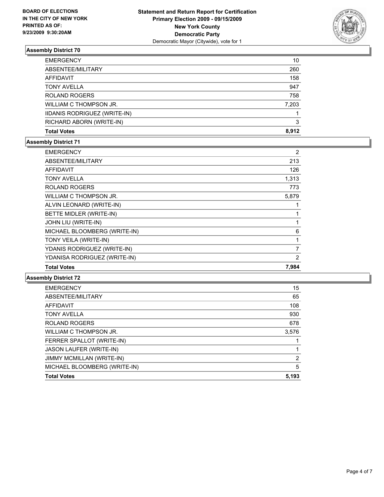

| <b>Total Votes</b>                  | 8.912 |
|-------------------------------------|-------|
| RICHARD ABORN (WRITE-IN)            | 3     |
| <b>IIDANIS RODRIGUEZ (WRITE-IN)</b> |       |
| WILLIAM C THOMPSON JR.              | 7,203 |
| <b>ROLAND ROGERS</b>                | 758   |
| <b>TONY AVELLA</b>                  | 947   |
| AFFIDAVIT                           | 158   |
| ABSENTEE/MILITARY                   | 260   |
| <b>EMERGENCY</b>                    | 10    |

# **Assembly District 71**

| <b>EMERGENCY</b>             | 2     |
|------------------------------|-------|
| ABSENTEE/MILITARY            | 213   |
| <b>AFFIDAVIT</b>             | 126   |
| <b>TONY AVELLA</b>           | 1,313 |
| <b>ROLAND ROGERS</b>         | 773   |
| WILLIAM C THOMPSON JR.       | 5,879 |
| ALVIN LEONARD (WRITE-IN)     |       |
| BETTE MIDLER (WRITE-IN)      | 1     |
| JOHN LIU (WRITE-IN)          | 1     |
| MICHAEL BLOOMBERG (WRITE-IN) | 6     |
| TONY VEILA (WRITE-IN)        | 1     |
| YDANIS RODRIGUEZ (WRITE-IN)  | 7     |
| YDANISA RODRIGUEZ (WRITE-IN) | 2     |
| <b>Total Votes</b>           | 7,984 |

| 15    |
|-------|
| 65    |
| 108   |
| 930   |
| 678   |
| 3,576 |
|       |
| 1     |
| 2     |
| 5     |
| 5,193 |
|       |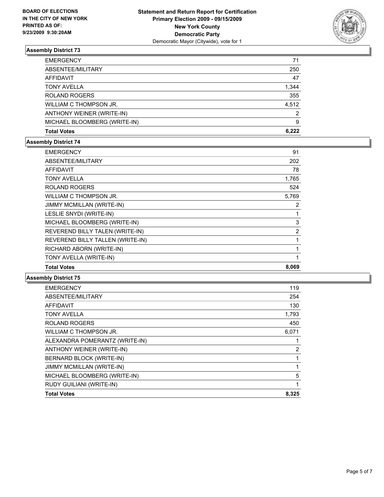

| <b>EMERGENCY</b>             | 71    |
|------------------------------|-------|
| ABSENTEE/MILITARY            | 250   |
| AFFIDAVIT                    | 47    |
| <b>TONY AVELLA</b>           | 1,344 |
| <b>ROLAND ROGERS</b>         | 355   |
| WILLIAM C THOMPSON JR.       | 4.512 |
| ANTHONY WEINER (WRITE-IN)    | 2     |
| MICHAEL BLOOMBERG (WRITE-IN) | 9     |
| <b>Total Votes</b>           | 6.222 |

## **Assembly District 74**

| <b>EMERGENCY</b>                 | 91          |
|----------------------------------|-------------|
| ABSENTEE/MILITARY                | 202         |
| AFFIDAVIT                        | 78          |
| TONY AVELLA                      | 1,765       |
| <b>ROLAND ROGERS</b>             | 524         |
| WILLIAM C THOMPSON JR.           | 5,769       |
| <b>JIMMY MCMILLAN (WRITE-IN)</b> | 2           |
| LESLIE SNYDI (WRITE-IN)          | 1           |
| MICHAEL BLOOMBERG (WRITE-IN)     | 3           |
| REVEREND BILLY TALEN (WRITE-IN)  | 2           |
| REVEREND BILLY TALLEN (WRITE-IN) | 1           |
| RICHARD ABORN (WRITE-IN)         | 1           |
| TONY AVELLA (WRITE-IN)           | $\mathbf 1$ |
| <b>Total Votes</b>               | 8,069       |
|                                  |             |

| <b>EMERGENCY</b>               | 119   |
|--------------------------------|-------|
| ABSENTEE/MILITARY              | 254   |
| <b>AFFIDAVIT</b>               | 130   |
| <b>TONY AVELLA</b>             | 1,793 |
| <b>ROLAND ROGERS</b>           | 450   |
| WILLIAM C THOMPSON JR.         | 6,071 |
| ALEXANDRA POMERANTZ (WRITE-IN) |       |
| ANTHONY WEINER (WRITE-IN)      | 2     |
| BERNARD BLOCK (WRITE-IN)       | 1     |
| JIMMY MCMILLAN (WRITE-IN)      | 1     |
| MICHAEL BLOOMBERG (WRITE-IN)   | 5     |
| RUDY GUILIANI (WRITE-IN)       | 1     |
| <b>Total Votes</b>             | 8,325 |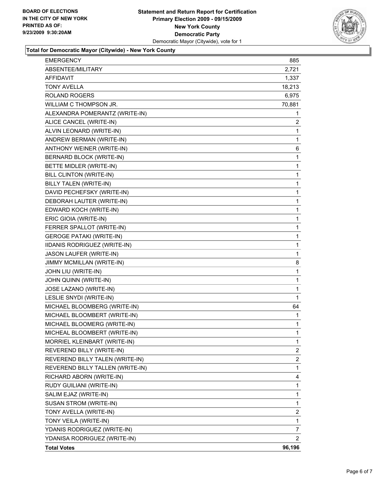

#### **Total for Democratic Mayor (Citywide) - New York County**

| <b>Total Votes</b>                                        | 96,196                |
|-----------------------------------------------------------|-----------------------|
| YDANISA RODRIGUEZ (WRITE-IN)                              | $\mathbf{2}^{\prime}$ |
| YDANIS RODRIGUEZ (WRITE-IN)                               | 7                     |
| TONY VEILA (WRITE-IN)                                     | $\mathbf 1$           |
| TONY AVELLA (WRITE-IN)                                    | 2                     |
| SUSAN STROM (WRITE-IN)                                    | 1                     |
| SALIM EJAZ (WRITE-IN)                                     | 1                     |
| RUDY GUILIANI (WRITE-IN)                                  | 1                     |
| RICHARD ABORN (WRITE-IN)                                  | 4                     |
| REVEREND BILLY TALLEN (WRITE-IN)                          | $\mathbf 1$           |
| REVEREND BILLY TALEN (WRITE-IN)                           | 2                     |
| REVEREND BILLY (WRITE-IN)                                 | $\mathbf{2}$          |
| MORRIEL KLEINBART (WRITE-IN)                              | 1                     |
| MICHEAL BLOOMBERT (WRITE-IN)                              | 1                     |
| MICHAEL BLOOMERG (WRITE-IN)                               | 1                     |
| MICHAEL BLOOMBERT (WRITE-IN)                              | 1                     |
| MICHAEL BLOOMBERG (WRITE-IN)                              | 64                    |
| LESLIE SNYDI (WRITE-IN)                                   | 1                     |
| JOSE LAZANO (WRITE-IN)                                    | 1                     |
| JOHN QUINN (WRITE-IN)                                     | 1                     |
| JOHN LIU (WRITE-IN)                                       | 1                     |
| JIMMY MCMILLAN (WRITE-IN)                                 | 8                     |
| JASON LAUFER (WRITE-IN)                                   | 1                     |
| IIDANIS RODRIGUEZ (WRITE-IN)                              | 1                     |
| <b>GEROGE PATAKI (WRITE-IN)</b>                           | 1                     |
| FERRER SPALLOT (WRITE-IN)                                 | 1                     |
| ERIC GIOIA (WRITE-IN)                                     | 1                     |
| EDWARD KOCH (WRITE-IN)                                    | 1                     |
| DEBORAH LAUTER (WRITE-IN)                                 | 1                     |
| DAVID PECHEFSKY (WRITE-IN)                                | 1                     |
| BILLY TALEN (WRITE-IN)                                    | 1                     |
| BILL CLINTON (WRITE-IN)                                   | 1                     |
| BETTE MIDLER (WRITE-IN)                                   | 1                     |
| BERNARD BLOCK (WRITE-IN)                                  | 1                     |
| ANTHONY WEINER (WRITE-IN)                                 | 6                     |
| ANDREW BERMAN (WRITE-IN)                                  | 1                     |
| ALVIN LEONARD (WRITE-IN)                                  | 1                     |
| ALEXANDRA POMERANTZ (WRITE-IN)<br>ALICE CANCEL (WRITE-IN) | 1<br>$\overline{2}$   |
| WILLIAM C THOMPSON JR.                                    | 70,881                |
| <b>ROLAND ROGERS</b>                                      | 6,975                 |
| <b>TONY AVELLA</b>                                        | 18,213                |
| <b>AFFIDAVIT</b>                                          | 1,337                 |
| ABSENTEE/MILITARY                                         | 2,721                 |
| <b>EMERGENCY</b>                                          | 885                   |